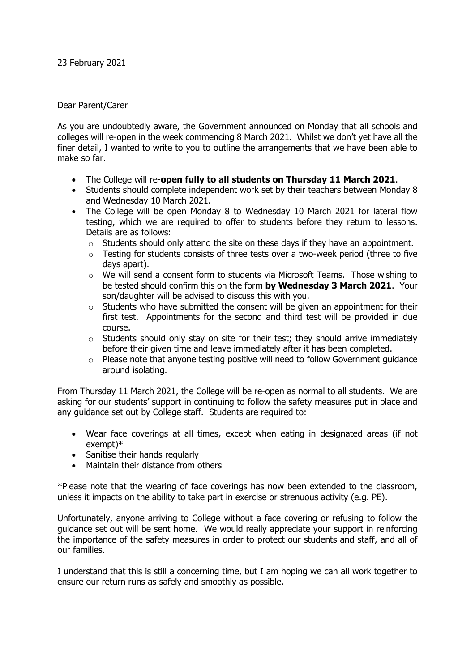## Dear Parent/Carer

As you are undoubtedly aware, the Government announced on Monday that all schools and colleges will re-open in the week commencing 8 March 2021. Whilst we don't yet have all the finer detail, I wanted to write to you to outline the arrangements that we have been able to make so far.

- The College will re-**open fully to all students on Thursday 11 March 2021**.
- Students should complete independent work set by their teachers between Monday 8 and Wednesday 10 March 2021.
- The College will be open Monday 8 to Wednesday 10 March 2021 for lateral flow testing, which we are required to offer to students before they return to lessons. Details are as follows:
	- o Students should only attend the site on these days if they have an appointment.
	- $\circ$  Testing for students consists of three tests over a two-week period (three to five days apart).
	- $\circ$  We will send a consent form to students via Microsoft Teams. Those wishing to be tested should confirm this on the form **by Wednesday 3 March 2021**. Your son/daughter will be advised to discuss this with you.
	- $\circ$  Students who have submitted the consent will be given an appointment for their first test. Appointments for the second and third test will be provided in due course.
	- o Students should only stay on site for their test; they should arrive immediately before their given time and leave immediately after it has been completed.
	- $\circ$  Please note that anyone testing positive will need to follow Government quidance around isolating.

From Thursday 11 March 2021, the College will be re-open as normal to all students. We are asking for our students' support in continuing to follow the safety measures put in place and any guidance set out by College staff. Students are required to:

- Wear face coverings at all times, except when eating in designated areas (if not exempt)\*
- Sanitise their hands regularly
- Maintain their distance from others

\*Please note that the wearing of face coverings has now been extended to the classroom, unless it impacts on the ability to take part in exercise or strenuous activity (e.g. PE).

Unfortunately, anyone arriving to College without a face covering or refusing to follow the guidance set out will be sent home. We would really appreciate your support in reinforcing the importance of the safety measures in order to protect our students and staff, and all of our families.

I understand that this is still a concerning time, but I am hoping we can all work together to ensure our return runs as safely and smoothly as possible.